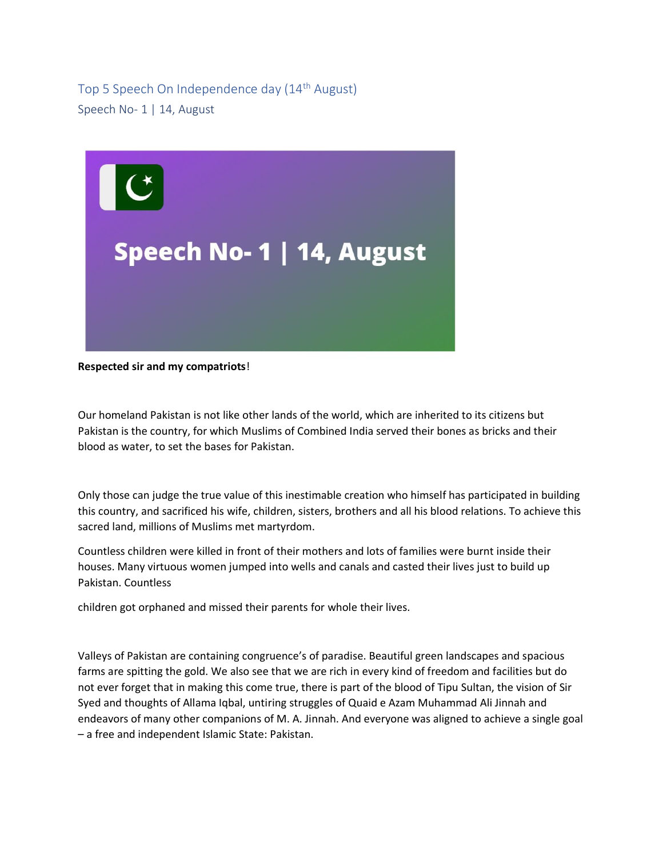Top 5 Speech On Independence day (14th August) Speech No- 1 | 14, August



**Respected sir and my compatriots**!

Our homeland Pakistan is not like other lands of the world, which are inherited to its citizens but Pakistan is the country, for which Muslims of Combined India served their bones as bricks and their blood as water, to set the bases for Pakistan.

Only those can judge the true value of this inestimable creation who himself has participated in building this country, and sacrificed his wife, children, sisters, brothers and all his blood relations. To achieve this sacred land, millions of Muslims met martyrdom.

Countless children were killed in front of their mothers and lots of families were burnt inside their houses. Many virtuous women jumped into wells and canals and casted their lives just to build up Pakistan. Countless

children got orphaned and missed their parents for whole their lives.

Valleys of Pakistan are containing congruence's of paradise. Beautiful green landscapes and spacious farms are spitting the gold. We also see that we are rich in every kind of freedom and facilities but do not ever forget that in making this come true, there is part of the blood of Tipu Sultan, the vision of Sir Syed and thoughts of Allama Iqbal, untiring struggles of Quaid e Azam Muhammad Ali Jinnah and endeavors of many other companions of M. A. Jinnah. And everyone was aligned to achieve a single goal – a free and independent Islamic State: Pakistan.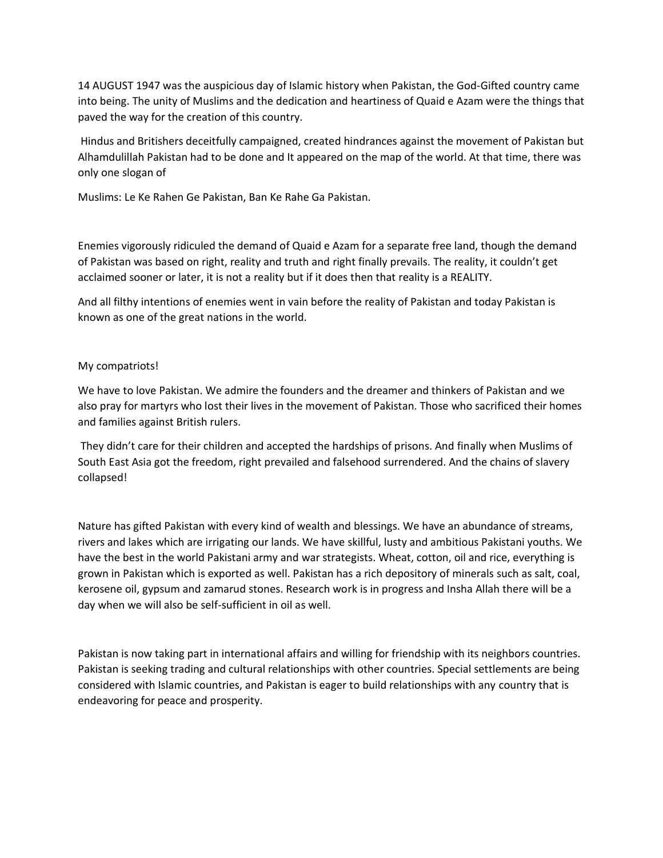14 AUGUST 1947 was the auspicious day of Islamic history when Pakistan, the God-Gifted country came into being. The unity of Muslims and the dedication and heartiness of Quaid e Azam were the things that paved the way for the creation of this country.

Hindus and Britishers deceitfully campaigned, created hindrances against the movement of Pakistan but Alhamdulillah Pakistan had to be done and It appeared on the map of the world. At that time, there was only one slogan of

Muslims: Le Ke Rahen Ge Pakistan, Ban Ke Rahe Ga Pakistan.

Enemies vigorously ridiculed the demand of Quaid e Azam for a separate free land, though the demand of Pakistan was based on right, reality and truth and right finally prevails. The reality, it couldn't get acclaimed sooner or later, it is not a reality but if it does then that reality is a REALITY.

And all filthy intentions of enemies went in vain before the reality of Pakistan and today Pakistan is known as one of the great nations in the world.

### My compatriots!

We have to love Pakistan. We admire the founders and the dreamer and thinkers of Pakistan and we also pray for martyrs who lost their lives in the movement of Pakistan. Those who sacrificed their homes and families against British rulers.

They didn't care for their children and accepted the hardships of prisons. And finally when Muslims of South East Asia got the freedom, right prevailed and falsehood surrendered. And the chains of slavery collapsed!

Nature has gifted Pakistan with every kind of wealth and blessings. We have an abundance of streams, rivers and lakes which are irrigating our lands. We have skillful, lusty and ambitious Pakistani youths. We have the best in the world Pakistani army and war strategists. Wheat, cotton, oil and rice, everything is grown in Pakistan which is exported as well. Pakistan has a rich depository of minerals such as salt, coal, kerosene oil, gypsum and zamarud stones. Research work is in progress and Insha Allah there will be a day when we will also be self-sufficient in oil as well.

Pakistan is now taking part in international affairs and willing for friendship with its neighbors countries. Pakistan is seeking trading and cultural relationships with other countries. Special settlements are being considered with Islamic countries, and Pakistan is eager to build relationships with any country that is endeavoring for peace and prosperity.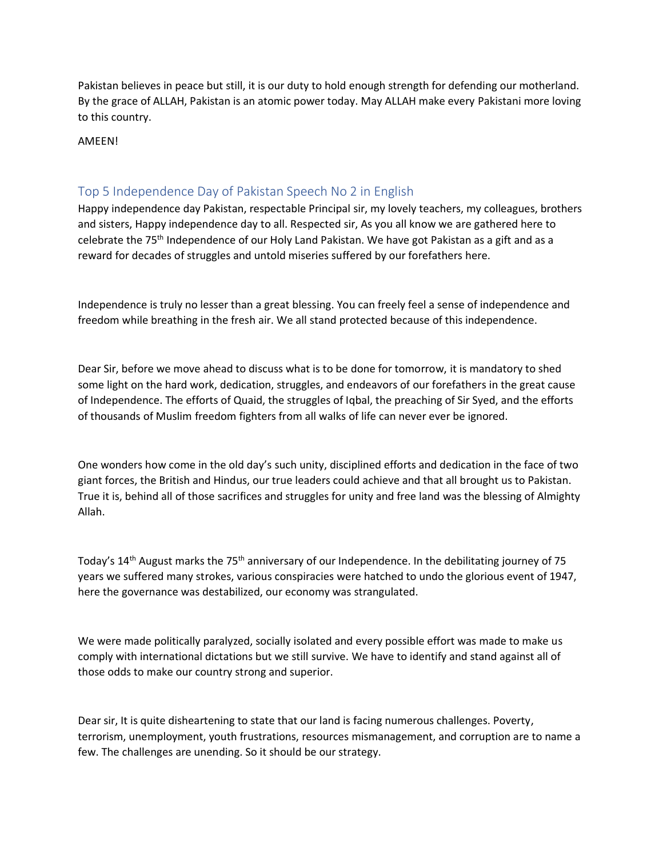Pakistan believes in peace but still, it is our duty to hold enough strength for defending our motherland. By the grace of ALLAH, Pakistan is an atomic power today. May ALLAH make every Pakistani more loving to this country.

AMEEN!

# Top 5 Independence Day of Pakistan Speech No 2 in English

Happy independence day Pakistan, respectable Principal sir, my lovely teachers, my colleagues, brothers and sisters, Happy independence day to all. Respected sir, As you all know we are gathered here to celebrate the 75th Independence of our Holy Land Pakistan. We have got Pakistan as a gift and as a reward for decades of struggles and untold miseries suffered by our forefathers here.

Independence is truly no lesser than a great blessing. You can freely feel a sense of independence and freedom while breathing in the fresh air. We all stand protected because of this independence.

Dear Sir, before we move ahead to discuss what is to be done for tomorrow, it is mandatory to shed some light on the hard work, dedication, struggles, and endeavors of our forefathers in the great cause of Independence. The efforts of Quaid, the struggles of Iqbal, the preaching of Sir Syed, and the efforts of thousands of Muslim freedom fighters from all walks of life can never ever be ignored.

One wonders how come in the old day's such unity, disciplined efforts and dedication in the face of two giant forces, the British and Hindus, our true leaders could achieve and that all brought us to Pakistan. True it is, behind all of those sacrifices and struggles for unity and free land was the blessing of Almighty Allah.

Today's  $14$ <sup>th</sup> August marks the 75<sup>th</sup> anniversary of our Independence. In the debilitating journey of 75 years we suffered many strokes, various conspiracies were hatched to undo the glorious event of 1947, here the governance was destabilized, our economy was strangulated.

We were made politically paralyzed, socially isolated and every possible effort was made to make us comply with international dictations but we still survive. We have to identify and stand against all of those odds to make our country strong and superior.

Dear sir, It is quite disheartening to state that our land is facing numerous challenges. Poverty, terrorism, unemployment, youth frustrations, resources mismanagement, and corruption are to name a few. The challenges are unending. So it should be our strategy.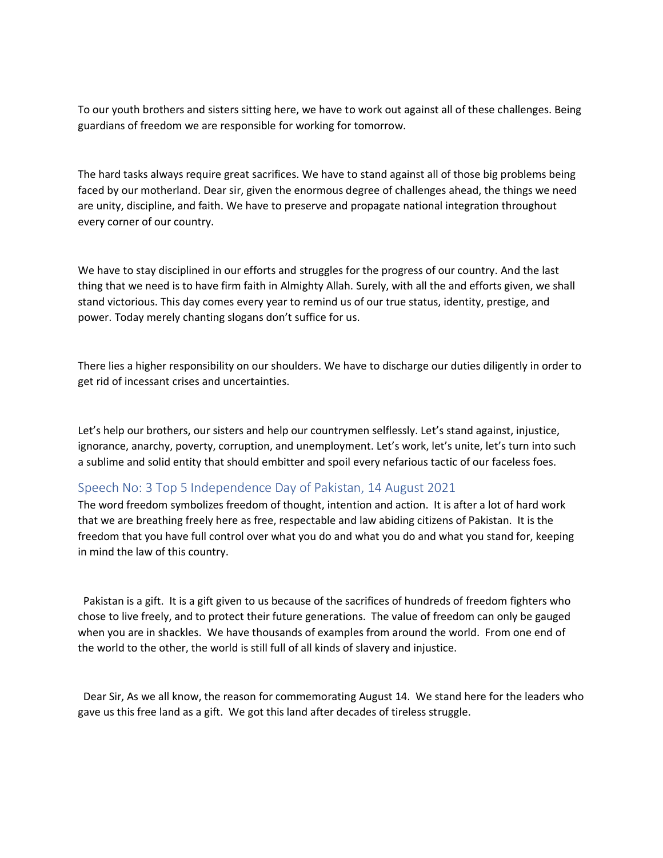To our youth brothers and sisters sitting here, we have to work out against all of these challenges. Being guardians of freedom we are responsible for working for tomorrow.

The hard tasks always require great sacrifices. We have to stand against all of those big problems being faced by our motherland. Dear sir, given the enormous degree of challenges ahead, the things we need are unity, discipline, and faith. We have to preserve and propagate national integration throughout every corner of our country.

We have to stay disciplined in our efforts and struggles for the progress of our country. And the last thing that we need is to have firm faith in Almighty Allah. Surely, with all the and efforts given, we shall stand victorious. This day comes every year to remind us of our true status, identity, prestige, and power. Today merely chanting slogans don't suffice for us.

There lies a higher responsibility on our shoulders. We have to discharge our duties diligently in order to get rid of incessant crises and uncertainties.

Let's help our brothers, our sisters and help our countrymen selflessly. Let's stand against, injustice, ignorance, anarchy, poverty, corruption, and unemployment. Let's work, let's unite, let's turn into such a sublime and solid entity that should embitter and spoil every nefarious tactic of our faceless foes.

## Speech No: 3 Top 5 Independence Day of Pakistan, 14 August 2021

The word freedom symbolizes freedom of thought, intention and action. It is after a lot of hard work that we are breathing freely here as free, respectable and law abiding citizens of Pakistan. It is the freedom that you have full control over what you do and what you do and what you stand for, keeping in mind the law of this country.

 Pakistan is a gift. It is a gift given to us because of the sacrifices of hundreds of freedom fighters who chose to live freely, and to protect their future generations. The value of freedom can only be gauged when you are in shackles. We have thousands of examples from around the world. From one end of the world to the other, the world is still full of all kinds of slavery and injustice.

 Dear Sir, As we all know, the reason for commemorating August 14. We stand here for the leaders who gave us this free land as a gift. We got this land after decades of tireless struggle.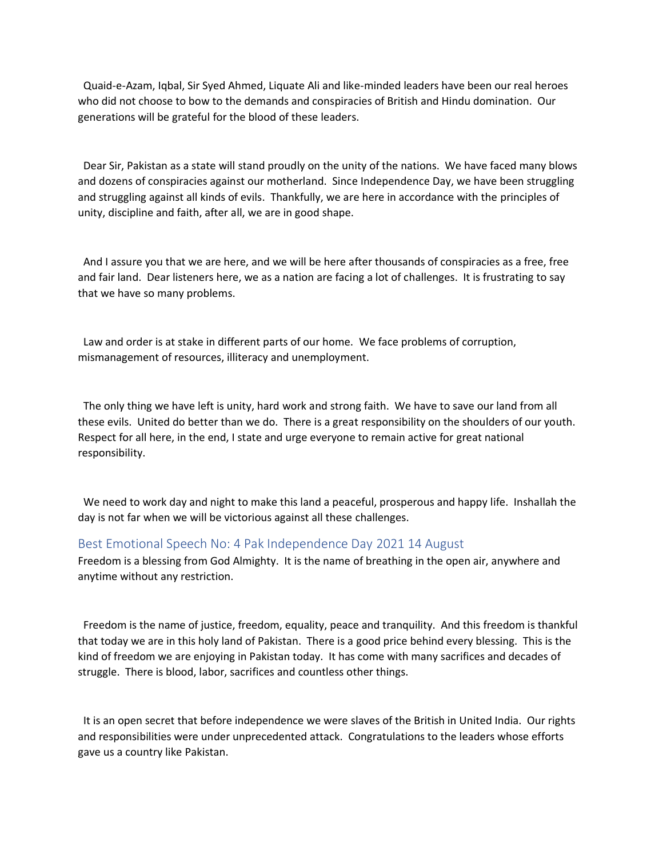Quaid-e-Azam, Iqbal, Sir Syed Ahmed, Liquate Ali and like-minded leaders have been our real heroes who did not choose to bow to the demands and conspiracies of British and Hindu domination. Our generations will be grateful for the blood of these leaders.

 Dear Sir, Pakistan as a state will stand proudly on the unity of the nations. We have faced many blows and dozens of conspiracies against our motherland. Since Independence Day, we have been struggling and struggling against all kinds of evils. Thankfully, we are here in accordance with the principles of unity, discipline and faith, after all, we are in good shape.

 And I assure you that we are here, and we will be here after thousands of conspiracies as a free, free and fair land. Dear listeners here, we as a nation are facing a lot of challenges. It is frustrating to say that we have so many problems.

 Law and order is at stake in different parts of our home. We face problems of corruption, mismanagement of resources, illiteracy and unemployment.

 The only thing we have left is unity, hard work and strong faith. We have to save our land from all these evils. United do better than we do. There is a great responsibility on the shoulders of our youth. Respect for all here, in the end, I state and urge everyone to remain active for great national responsibility.

 We need to work day and night to make this land a peaceful, prosperous and happy life. Inshallah the day is not far when we will be victorious against all these challenges.

### Best Emotional Speech No: 4 Pak Independence Day 2021 14 August

Freedom is a blessing from God Almighty. It is the name of breathing in the open air, anywhere and anytime without any restriction.

 Freedom is the name of justice, freedom, equality, peace and tranquility. And this freedom is thankful that today we are in this holy land of Pakistan. There is a good price behind every blessing. This is the kind of freedom we are enjoying in Pakistan today. It has come with many sacrifices and decades of struggle. There is blood, labor, sacrifices and countless other things.

 It is an open secret that before independence we were slaves of the British in United India. Our rights and responsibilities were under unprecedented attack. Congratulations to the leaders whose efforts gave us a country like Pakistan.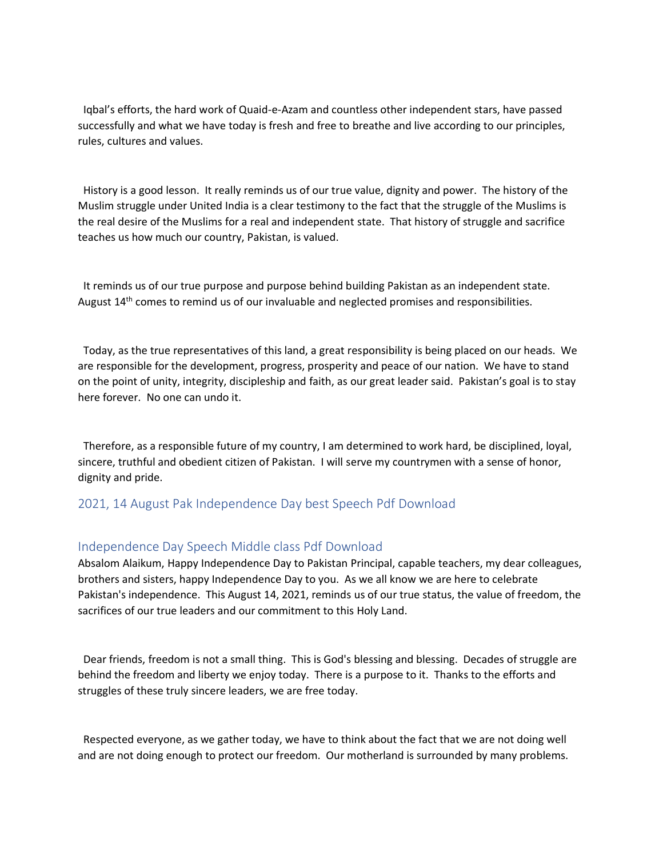Iqbal's efforts, the hard work of Quaid-e-Azam and countless other independent stars, have passed successfully and what we have today is fresh and free to breathe and live according to our principles, rules, cultures and values.

 History is a good lesson. It really reminds us of our true value, dignity and power. The history of the Muslim struggle under United India is a clear testimony to the fact that the struggle of the Muslims is the real desire of the Muslims for a real and independent state. That history of struggle and sacrifice teaches us how much our country, Pakistan, is valued.

 It reminds us of our true purpose and purpose behind building Pakistan as an independent state. August 14<sup>th</sup> comes to remind us of our invaluable and neglected promises and responsibilities.

 Today, as the true representatives of this land, a great responsibility is being placed on our heads. We are responsible for the development, progress, prosperity and peace of our nation. We have to stand on the point of unity, integrity, discipleship and faith, as our great leader said. Pakistan's goal is to stay here forever. No one can undo it.

 Therefore, as a responsible future of my country, I am determined to work hard, be disciplined, loyal, sincere, truthful and obedient citizen of Pakistan. I will serve my countrymen with a sense of honor, dignity and pride.

## 2021, 14 August Pak Independence Day best Speech Pdf Download

## Independence Day Speech Middle class Pdf Download

Absalom Alaikum, Happy Independence Day to Pakistan Principal, capable teachers, my dear colleagues, brothers and sisters, happy Independence Day to you. As we all know we are here to celebrate Pakistan's independence. This August 14, 2021, reminds us of our true status, the value of freedom, the sacrifices of our true leaders and our commitment to this Holy Land.

 Dear friends, freedom is not a small thing. This is God's blessing and blessing. Decades of struggle are behind the freedom and liberty we enjoy today. There is a purpose to it. Thanks to the efforts and struggles of these truly sincere leaders, we are free today.

 Respected everyone, as we gather today, we have to think about the fact that we are not doing well and are not doing enough to protect our freedom. Our motherland is surrounded by many problems.